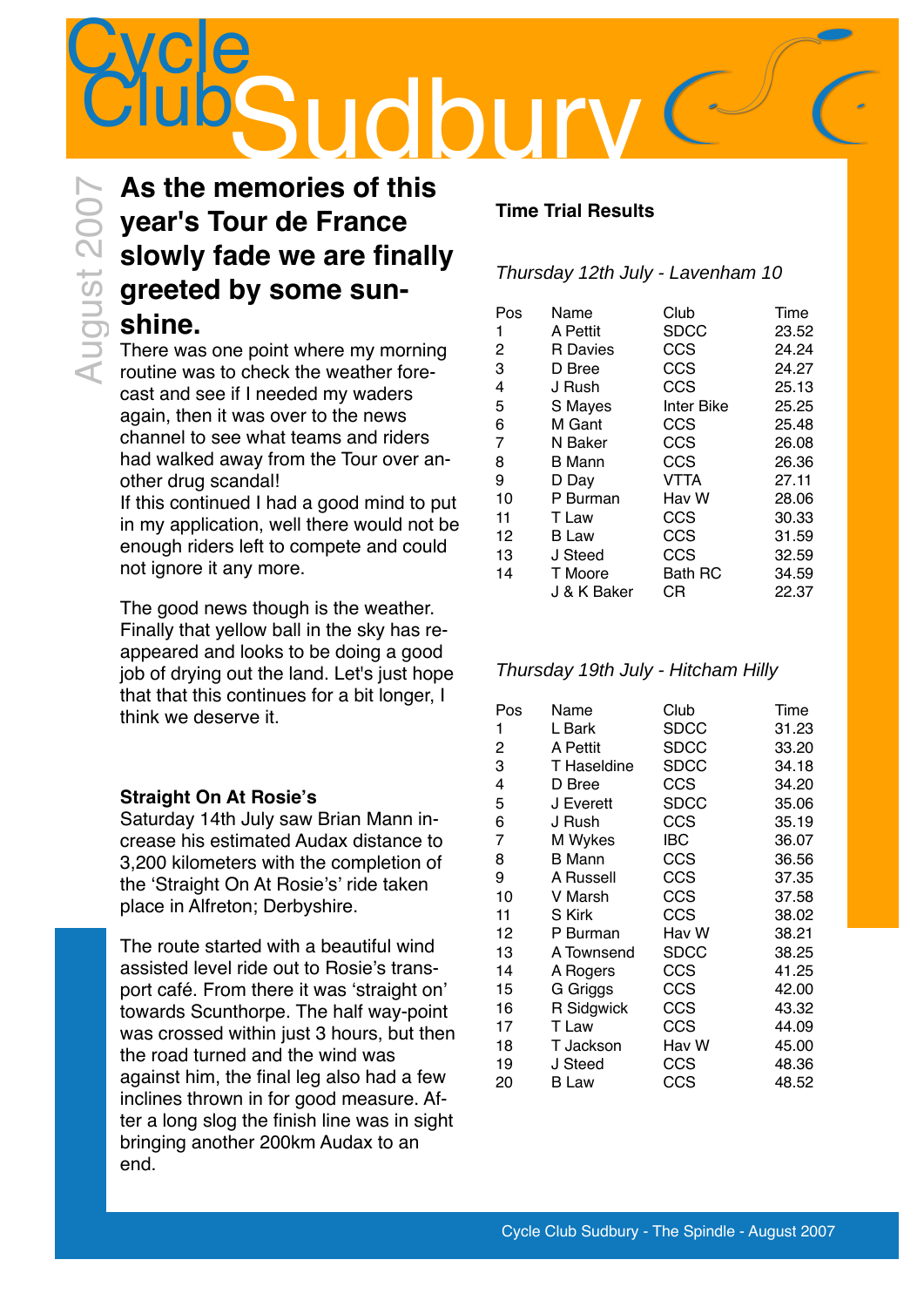

### **As the memories of this year's Tour de France slowly fade we are finally greeted by some sun-Solution Street Section**<br> **Shine.**<br> **Shine.**<br> **Shine.**<br> **Shine.**<br> **Shine.**<br> **Shine.**

There was one point where my morning routine was to check the weather forecast and see if I needed my waders again, then it was over to the news channel to see what teams and riders had walked away from the Tour over another drug scandal!

If this continued I had a good mind to put in my application, well there would not be enough riders left to compete and could not ignore it any more.

The good news though is the weather. Finally that yellow ball in the sky has reappeared and looks to be doing a good job of drying out the land. Let's just hope that that this continues for a bit longer, I think we deserve it.

### **Straight On At Rosie's**

Saturday 14th July saw Brian Mann increase his estimated Audax distance to 3,200 kilometers with the completion of the 'Straight On At Rosie's' ride taken place in Alfreton; Derbyshire.

The route started with a beautiful wind assisted level ride out to Rosie's transport café. From there it was 'straight on' towards Scunthorpe. The half way-point was crossed within just 3 hours, but then the road turned and the wind was against him, the final leg also had a few inclines thrown in for good measure. After a long slog the finish line was in sight bringing another 200km Audax to an end.

### **Time Trial Results**

### Thursday 12th July - Lavenham 10

| Pos | Name            | Club       | Time  |
|-----|-----------------|------------|-------|
| 1   | A Pettit        | SDCC       | 23.52 |
| 2   | <b>R</b> Davies | CCS        | 24.24 |
| 3   | D Bree          | CCS        | 24.27 |
| 4   | J Rush          | CCS        | 25.13 |
| 5   | S Mayes         | Inter Bike | 25.25 |
| 6   | M Gant          | CCS        | 25.48 |
| 7   | N Baker         | CCS        | 26.08 |
| 8   | B Mann          | CCS        | 26.36 |
| 9   | D Day           | VTTA       | 27.11 |
| 10  | P Burman        | Hav W      | 28.06 |
| 11  | T Law           | CCS        | 30.33 |
| 12  | <b>B</b> Law    | CCS        | 31.59 |
| 13  | J Steed         | CCS        | 32.59 |
| 14  | T Moore         | Bath RC    | 34.59 |
|     | J & K Baker     | CR         | 22.37 |

### Thursday 19th July - Hitcham Hilly

| Pos            | Name          | Club        | Time  |
|----------------|---------------|-------------|-------|
| 1              | L Bark        | <b>SDCC</b> | 31.23 |
| 2              | A Pettit      | <b>SDCC</b> | 33.20 |
| 3              | T Haseldine   | <b>SDCC</b> | 34.18 |
| 4              | D Bree        | CCS         | 34.20 |
| 5              | J Everett     | <b>SDCC</b> | 35.06 |
| 6              | J Rush        | CCS         | 35.19 |
| $\overline{7}$ | M Wykes       | IBC         | 36.07 |
| 8              | <b>B</b> Mann | <b>CCS</b>  | 36.56 |
| 9              | A Russell     | CCS         | 37.35 |
| 10             | V Marsh       | CCS         | 37.58 |
| 11             | S Kirk        | CCS         | 38.02 |
| 12             | P Burman      | Hav W       | 38.21 |
| 13             | A Townsend    | <b>SDCC</b> | 38.25 |
| 14             | A Rogers      | CCS         | 41.25 |
| 15             | G Griggs      | CCS         | 42.00 |
| 16             | R Sidgwick    | CCS         | 43.32 |
| 17             | T Law         | CCS         | 44.09 |
| 18             | T Jackson     | Hav W       | 45.00 |
| 19             | J Steed       | CCS         | 48.36 |
| 20             | <b>B</b> Law  | CCS         | 48.52 |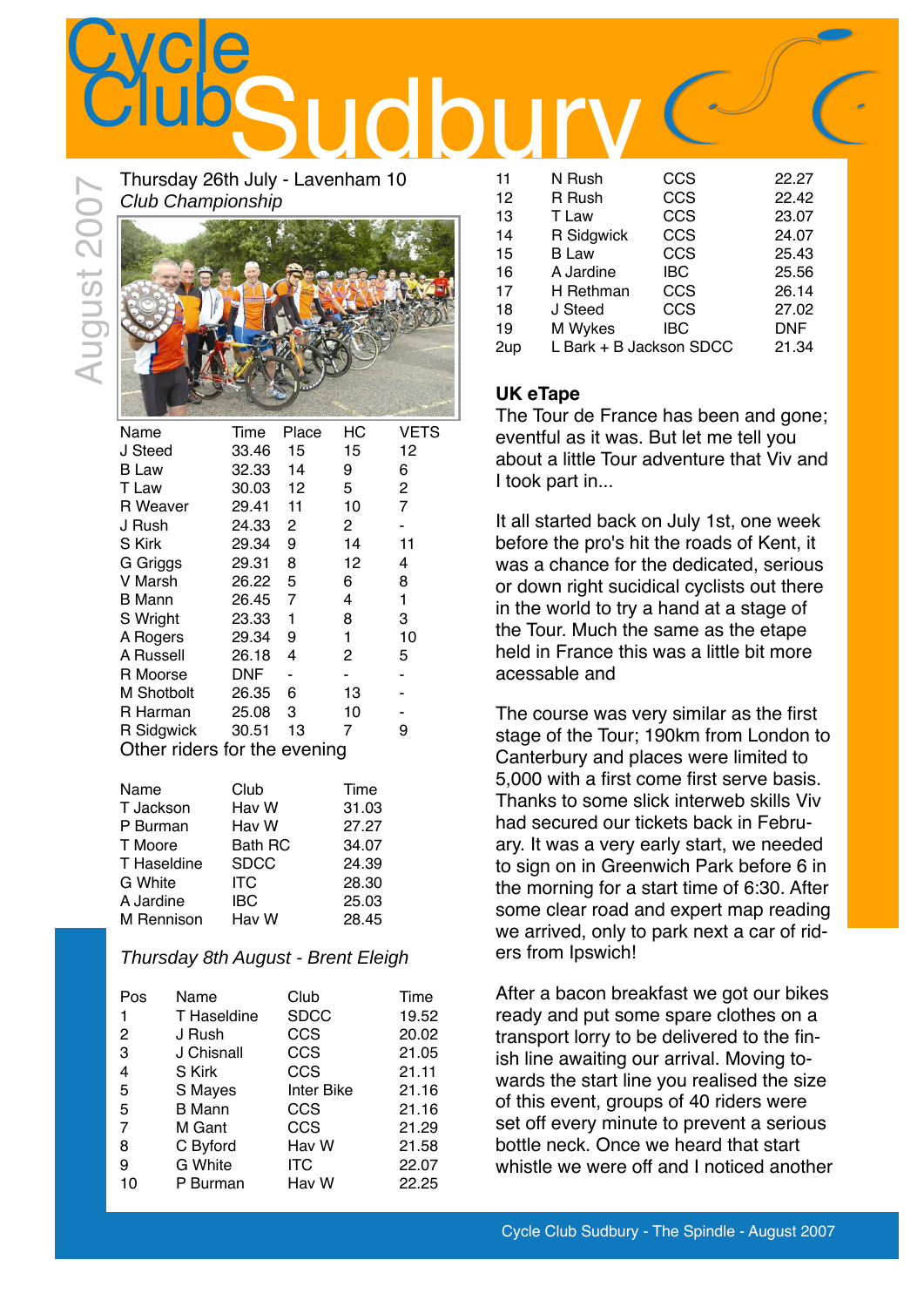

Thursday 26th July - Lavenham 10 Club Championship



| Name                         | Time  | Place | НC | VETS           |  |
|------------------------------|-------|-------|----|----------------|--|
| J Steed                      | 33.46 | 15    | 15 | 12             |  |
| <b>B</b> Law                 | 32.33 | 14    | 9  | 6              |  |
| T Law                        | 30.03 | 12    | 5  | 2              |  |
| R Weaver                     | 29.41 | 11    | 10 | $\overline{7}$ |  |
| J Rush                       | 24.33 | 2     | 2  |                |  |
| S Kirk                       | 29.34 | 9     | 14 | 11             |  |
| G Griggs                     | 29.31 | 8     | 12 | 4              |  |
| V Marsh                      | 26.22 | 5     | 6  | 8              |  |
| <b>B</b> Mann                | 26.45 | 7     | 4  | 1              |  |
| S Wright                     | 23.33 | 1     | 8  | 3              |  |
| A Rogers                     | 29.34 | 9     | 1  | 10             |  |
| A Russell                    | 26.18 | 4     | 2  | 5              |  |
| R Moorse                     | DNF   |       |    |                |  |
| M Shotbolt                   | 26.35 | 6     | 13 |                |  |
| R Harman                     | 25.08 | 3     | 10 |                |  |
| R Sidgwick                   | 30.51 | 13    | 7  | 9              |  |
| Other riders for the evening |       |       |    |                |  |

| Club           | Time  |
|----------------|-------|
| Hav W          | 31.03 |
| Hav W          | 27.27 |
| <b>Bath RC</b> | 34.07 |
| <b>SDCC</b>    | 24.39 |
| ITC            | 28.30 |
| IBC            | 25.03 |
| Hav W          | 28.45 |
|                |       |

### Thursday 8th August - Brent Eleigh

| Pos            | Name           | Club              | Time  |
|----------------|----------------|-------------------|-------|
| 1              | T Haseldine    | <b>SDCC</b>       | 19.52 |
| 2              | J Rush         | CCS               | 20.02 |
| 3              | J Chisnall     | CCS               | 21.05 |
| 4              | S Kirk         | CCS               | 21.11 |
| 5              | S Mayes        | <b>Inter Bike</b> | 21.16 |
| 5              | <b>B</b> Mann  | CCS               | 21.16 |
| $\overline{7}$ | M Gant         | CCS               | 21.29 |
| 8              | C Byford       | Hav W             | 21.58 |
| 9              | <b>G</b> White | ITC               | 22.07 |
| 10             | P Burman       | Hav W             | 22.25 |
|                |                |                   |       |

| 11  | N Rush                  | CCS        | 22.27      |
|-----|-------------------------|------------|------------|
| 12  | R Rush                  | CCS        | 22.42      |
| 13  | T Law                   | CCS        | 23.07      |
| 14  | R Sidgwick              | CCS        | 24.07      |
| 15  | <b>B</b> Law            | CCS        | 25.43      |
| 16  | A Jardine               | IBC        | 25.56      |
| 17  | H Rethman               | CCS        | 26.14      |
| 18  | J Steed                 | CCS        | 27.02      |
| 19  | M Wykes                 | <b>IBC</b> | <b>DNF</b> |
| 2up | L Bark + B Jackson SDCC |            | 21.34      |

### **UK eTape**

The Tour de France has been and gone; eventful as it was. But let me tell you about a little Tour adventure that Viv and I took part in...

It all started back on July 1st, one week before the pro's hit the roads of Kent, it was a chance for the dedicated, serious or down right sucidical cyclists out there in the world to try a hand at a stage of the Tour. Much the same as the etape held in France this was a little bit more acessable and

The course was very similar as the first stage of the Tour; 190km from London to Canterbury and places were limited to 5,000 with a first come first serve basis. Thanks to some slick interweb skills Viv had secured our tickets back in February. It was a very early start, we needed to sign on in Greenwich Park before 6 in the morning for a start time of 6:30. After some clear road and expert map reading we arrived, only to park next a car of riders from Ipswich!

After a bacon breakfast we got our bikes ready and put some spare clothes on a transport lorry to be delivered to the finish line awaiting our arrival. Moving towards the start line you realised the size of this event, groups of 40 riders were set off every minute to prevent a serious bottle neck. Once we heard that start whistle we were off and I noticed another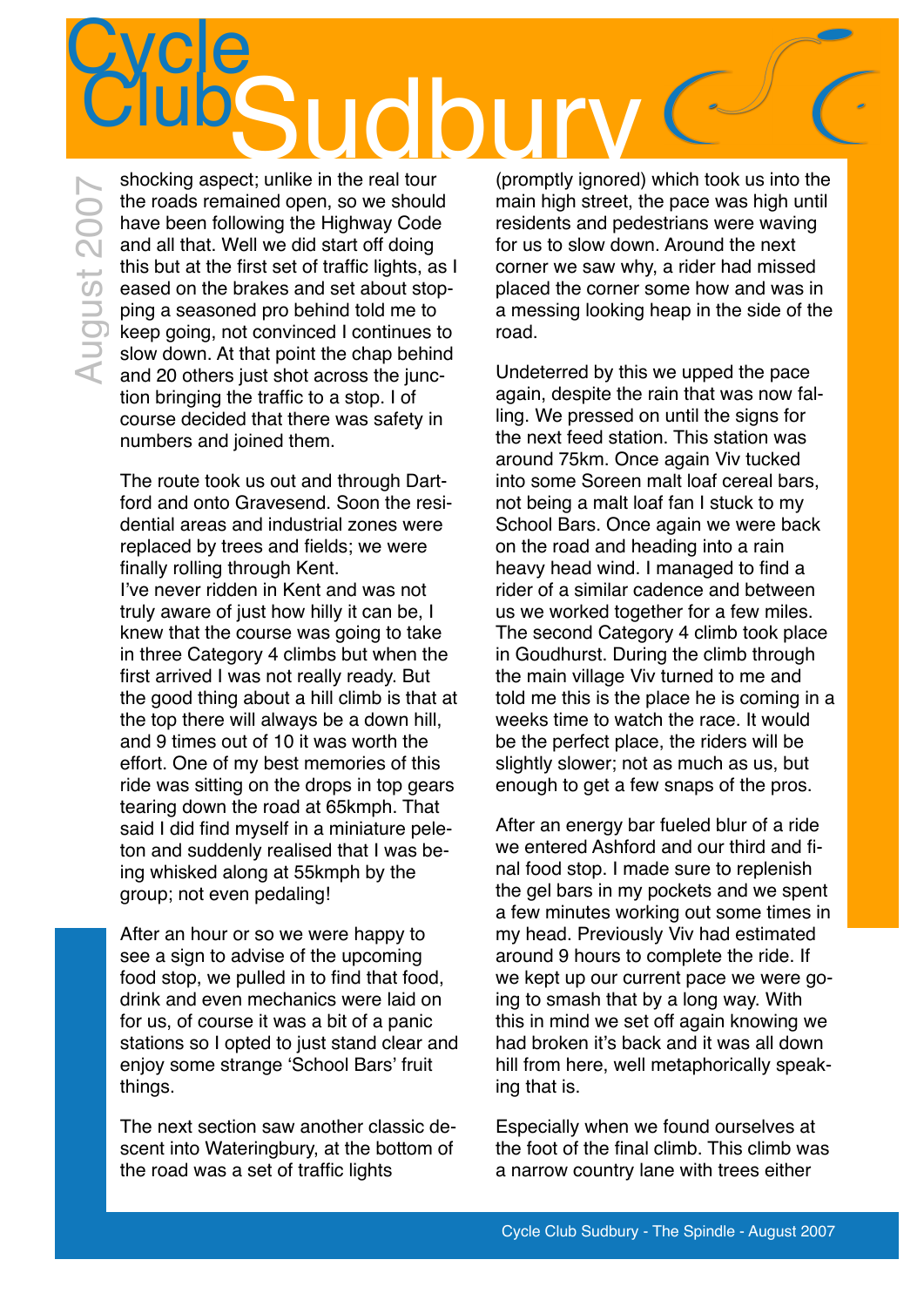### **Cycle** Sudbury Club

shocking aspect; unlike in the real tour August 2007August 200 the roads remained open, so we should have been following the Highway Code and all that. Well we did start off doing this but at the first set of traffic lights, as I eased on the brakes and set about stopping a seasoned pro behind told me to keep going, not convinced I continues to slow down. At that point the chap behind and 20 others just shot across the junction bringing the traffic to a stop. I of course decided that there was safety in numbers and joined them[.](http://www.flickr.com/photos/funkylarma/714170268/)

> The route took us out and through Dartford and onto Gravesend. Soon the residential areas and industrial zones were replaced by trees and fields; we were finally rolling through Kent. I've never ridden in Kent and was not truly aware of just how hilly it can be, I knew that the course was going to take in three Category 4 climbs but when the first arrived I was not really ready. But the good thing about a hill climb is that at the top there will always be a down hill, and 9 times out of 10 it was worth the effort. One of my best memories of this ride was sitting on the drops in top gears tearing down the road at 65kmph. That said I did find myself in a miniature peleton and suddenly realised that I was being whisked along at 55kmph by the group; not even pedaling!

> After an hour or so we were happy to see a sign to advise of the upcoming food stop, we pulled in to find that food, drink and even mechanics were laid on for us, of course it was a bit of a panic stations so I opted to just stand clear and enjoy some strange 'School Bars' fruit things.

The next section saw another classic descent into Wateringbury, at the bottom of the road was a set of traffic lights

(promptly ignored) which took us into the main high street, the pace was high until residents and pedestrians were waving for us to slow down. Around the next corner we saw why, a rider had missed placed the corner some how and was in a messing looking heap in the side of the road.

Undeterred by this we upped the pace again, despite the rain that was now falling. We pressed on until the signs for the next feed station. This station was around 75km. Once again Viv tucked into some Soreen malt loaf cereal bars, not being a malt loaf fan I stuck to my School Bars. Once again we were back on the road and heading into a rain heavy head wind. I managed to find a rider of a similar cadence and between us we worked together for a few miles. The second Category 4 climb took place in Goudhurst. During the climb through the main village Viv turned to me and told me this is the place he is coming in a weeks time to watch the race. It would be the perfect place, the riders will be slightly slower; not as much as us, but enough to get a few snaps of the pros.

After an energy bar fueled blur of a ride we entered Ashford and our third and final food stop. I made sure to replenish the gel bars in my pockets and we spent a few minutes working out some times in my head. Previously Viv had estimated around 9 hours to complete the ride. If we kept up our current pace we were going to smash that by a long way. With this in mind we set off again knowing we had broken it's back and it was all down hill from here, well metaphorically speaking that is.

Especially when we found ourselves at the foot of the final climb. This climb was a narrow country lane with trees either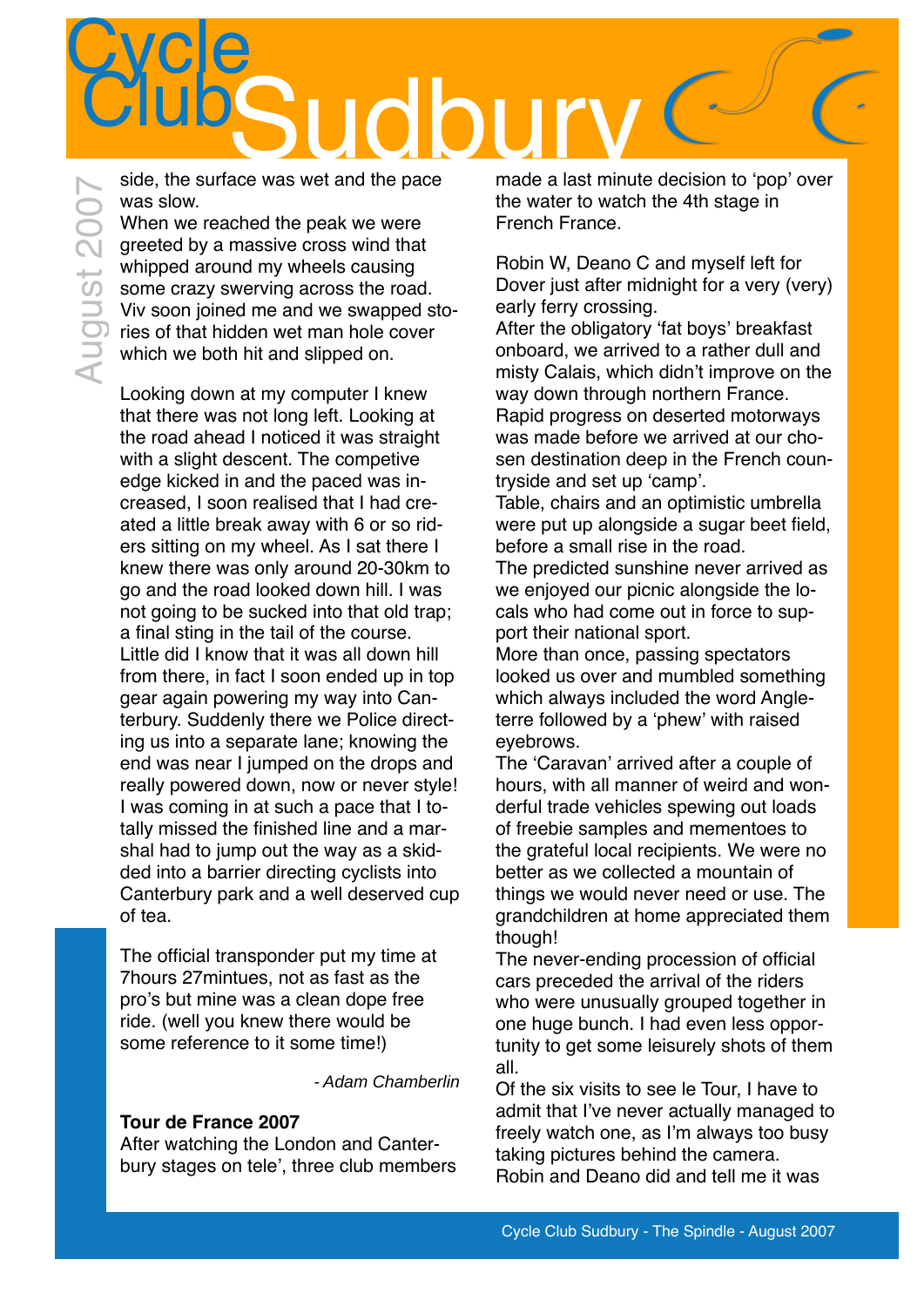## **Cycle** Sudbury Club

side, the surface was wet and the pace was slow.

When we reached the peak we were greeted by a massive cross wind that whipped around my wheels causing some crazy swerving across the road. Viv soon joined me and we swapped stories of that hidden wet man hole cover which we both hit and slipped on.

Looking down at my computer I knew that there was not long left. Looking at the road ahead I noticed it was straight with a slight descent. The competive edge kicked in and the paced was increased, I soon realised that I had created a little break away with 6 or so riders sitting on my wheel. As I sat there I knew there was only around 20-30km to go and the road looked down hill. I was not going to be sucked into that old trap; a final sting in the tail of the course. Little did I know that it was all down hill from there, in fact I soon ended up in top gear again powering my way into Canterbury. Suddenly there we Police directing us into a separate lane; knowing the end was near I jumped on the drops and really powered down, now or never style! I was coming in at such a pace that I totally missed the finished line and a marshal had to jump out the way as a skidded into a barrier directing cyclists into Canterbury park and a well deserved cup of tea.

The official transponder put my time at 7hours 27mintues, not as fast as the pro's but mine was a clean dope free ride. (well you knew there would be some reference to it some time!)

- Adam Chamberlin

### **Tour de France 2007**

After watching the London and Canterbury stages on tele', three club members made a last minute decision to 'pop' over the water to watch the 4th stage in French France.

Robin W, Deano C and myself left for Dover just after midnight for a very (very) early ferry crossing.

After the obligatory 'fat boys' breakfast onboard, we arrived to a rather dull and misty Calais, which didn't improve on the way down through northern France. Rapid progress on deserted motorways was made before we arrived at our chosen destination deep in the French countryside and set up 'camp'.

Table, chairs and an optimistic umbrella were put up alongside a sugar beet field, before a small rise in the road.

The predicted sunshine never arrived as we enjoyed our picnic alongside the locals who had come out in force to support their national sport.

More than once, passing spectators looked us over and mumbled something which always included the word Angleterre followed by a 'phew' with raised eyebrows.

The 'Caravan' arrived after a couple of hours, with all manner of weird and wonderful trade vehicles spewing out loads of freebie samples and mementoes to the grateful local recipients. We were no better as we collected a mountain of things we would never need or use. The grandchildren at home appreciated them though!

The never-ending procession of official cars preceded the arrival of the riders who were unusually grouped together in one huge bunch. I had even less opportunity to get some leisurely shots of them all.

Of the six visits to see le Tour, I have to admit that I've never actually managed to freely watch one, as I'm always too busy taking pictures behind the camera. Robin and Deano did and tell me it was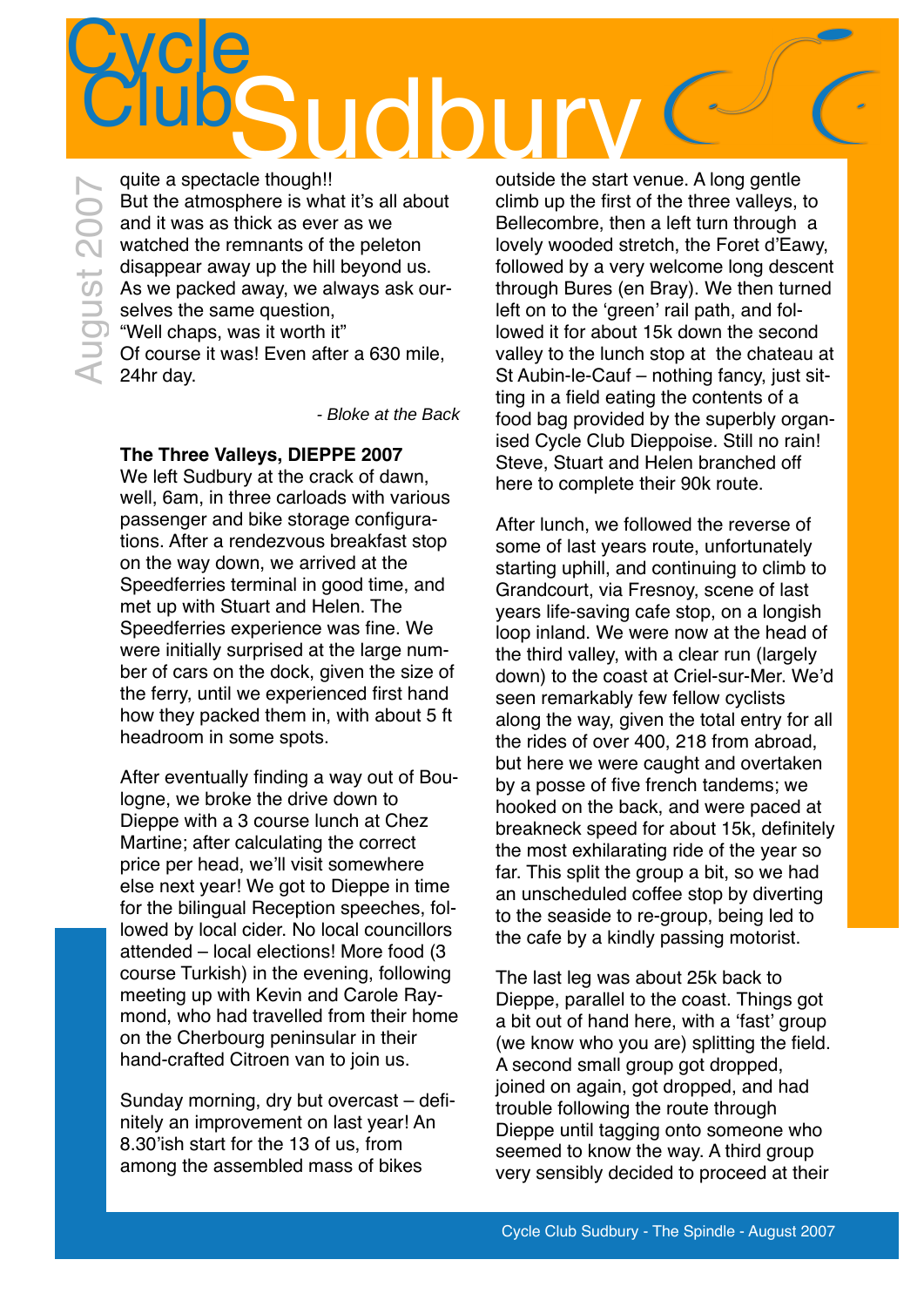### **Cycle TIGO**

quite a spectacle though!! But the atmosphere is what it's all about and it was as thick as ever as we watched the remnants of the peleton disappear away up the hill beyond us. As we packed away, we always ask ourselves the same question, "Well chaps, was it worth it" Of course it was! Even after a 630 mile, 24hr day. August 2007

- Bloke at the Back

### **The Three Valleys, DIEPPE 2007**

We left Sudbury at the crack of dawn, well, 6am, in three carloads with various passenger and bike storage configurations. After a rendezvous breakfast stop on the way down, we arrived at the Speedferries terminal in good time, and met up with Stuart and Helen. The Speedferries experience was fine. We were initially surprised at the large number of cars on the dock, given the size of the ferry, until we experienced first hand how they packed them in, with about 5 ft headroom in some spots.

After eventually finding a way out of Boulogne, we broke the drive down to Dieppe with a 3 course lunch at Chez Martine; after calculating the correct price per head, we'll visit somewhere else next year! We got to Dieppe in time for the bilingual Reception speeches, followed by local cider. No local councillors attended – local elections! More food (3 course Turkish) in the evening, following meeting up with Kevin and Carole Raymond, who had travelled from their home on the Cherbourg peninsular in their hand-crafted Citroen van to join us.

Sunday morning, dry but overcast – definitely an improvement on last year! An 8.30'ish start for the 13 of us, from among the assembled mass of bikes

outside the start venue. A long gentle climb up the first of the three valleys, to Bellecombre, then a left turn through a lovely wooded stretch, the Foret d'Eawy, followed by a very welcome long descent through Bures (en Bray). We then turned left on to the 'green' rail path, and followed it for about 15k down the second valley to the lunch stop at the chateau at St Aubin-le-Cauf – nothing fancy, just sitting in a field eating the contents of a food bag provided by the superbly organised Cycle Club Dieppoise. Still no rain! Steve, Stuart and Helen branched off here to complete their 90k route.

After lunch, we followed the reverse of some of last years route, unfortunately starting uphill, and continuing to climb to Grandcourt, via Fresnoy, scene of last years life-saving cafe stop, on a longish loop inland. We were now at the head of the third valley, with a clear run (largely down) to the coast at Criel-sur-Mer. We'd seen remarkably few fellow cyclists along the way, given the total entry for all the rides of over 400, 218 from abroad, but here we were caught and overtaken by a posse of five french tandems; we hooked on the back, and were paced at breakneck speed for about 15k, definitely the most exhilarating ride of the year so far. This split the group a bit, so we had an unscheduled coffee stop by diverting to the seaside to re-group, being led to the cafe by a kindly passing motorist.

The last leg was about 25k back to Dieppe, parallel to the coast. Things got a bit out of hand here, with a 'fast' group (we know who you are) splitting the field. A second small group got dropped, joined on again, got dropped, and had trouble following the route through Dieppe until tagging onto someone who seemed to know the way. A third group very sensibly decided to proceed at their